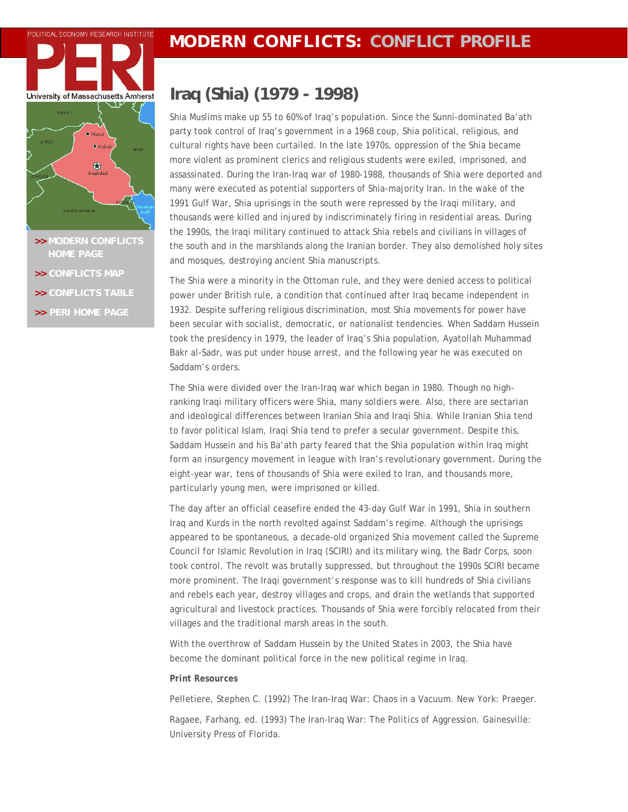# **POLITICAL ECONOMY RESEARCH INSTITUTE MODERN CONFLICTS: CONFLICT PROFILE**



- **>> [MODERN CONFLICTS](http://www.peri.umass.edu/index.php?id=396)**
- **>> [CONFLICTS MAP](http://www.peri.umass.edu/fileadmin/pdf/dpe/modern_conflicts/conflicts_map.pdf)**
- **>> [CONFLICTS TABLE](http://www.peri.umass.edu/fileadmin/pdf/dpe/modern_conflicts/conflicts_table.pdf)**
- **>> [PERI HOME PAGE](http://www.peri.umass.edu/)**

## **Iraq (Shia) (1979 - 1998)**

Shia Muslims make up 55 to 60% of Iraq's population. Since the Sunni-dominated Ba'ath party took control of Iraq's government in a 1968 coup, Shia political, religious, and cultural rights have been curtailed. In the late 1970s, oppression of the Shia became more violent as prominent clerics and religious students were exiled, imprisoned, and assassinated. During the Iran-Iraq war of 1980-1988, thousands of Shia were deported and many were executed as potential supporters of Shia-majority Iran. In the wake of the 1991 Gulf War, Shia uprisings in the south were repressed by the Iraqi military, and thousands were killed and injured by indiscriminately firing in residential areas. During the 1990s, the Iraqi military continued to attack Shia rebels and civilians in villages of the south and in the marshlands along the Iranian border. They also demolished holy sites and mosques, destroying ancient Shia manuscripts.

The Shia were a minority in the Ottoman rule, and they were denied access to political power under British rule, a condition that continued after Iraq became independent in 1932. Despite suffering religious discrimination, most Shia movements for power have been secular with socialist, democratic, or nationalist tendencies. When Saddam Hussein took the presidency in 1979, the leader of Iraq's Shia population, Ayatollah Muhammad Bakr al-Sadr, was put under house arrest, and the following year he was executed on Saddam's orders.

The Shia were divided over the Iran-Iraq war which began in 1980. Though no highranking Iraqi military officers were Shia, many soldiers were. Also, there are sectarian and ideological differences between Iranian Shia and Iraqi Shia. While Iranian Shia tend to favor political Islam, Iraqi Shia tend to prefer a secular government. Despite this, Saddam Hussein and his Ba'ath party feared that the Shia population within Iraq might form an insurgency movement in league with Iran's revolutionary government. During the eight-year war, tens of thousands of Shia were exiled to Iran, and thousands more, particularly young men, were imprisoned or killed.

The day after an official ceasefire ended the 43-day Gulf War in 1991, Shia in southern Iraq and Kurds in the north revolted against Saddam's regime. Although the uprisings appeared to be spontaneous, a decade-old organized Shia movement called the Supreme Council for Islamic Revolution in Iraq (SCIRI) and its military wing, the Badr Corps, soon took control. The revolt was brutally suppressed, but throughout the 1990s SCIRI became more prominent. The Iraqi government's response was to kill hundreds of Shia civilians and rebels each year, destroy villages and crops, and drain the wetlands that supported agricultural and livestock practices. Thousands of Shia were forcibly relocated from their villages and the traditional marsh areas in the south.

With the overthrow of Saddam Hussein by the United States in 2003, the Shia have become the dominant political force in the new political regime in Iraq.

### *Print Resources*

Pelletiere, Stephen C. (1992) *The Iran-Iraq War: Chaos in a Vacuum.* New York: Praeger.

Ragaee, Farhang, ed. (1993) *The Iran-Iraq War: The Politics of Aggression.* Gainesville: University Press of Florida.